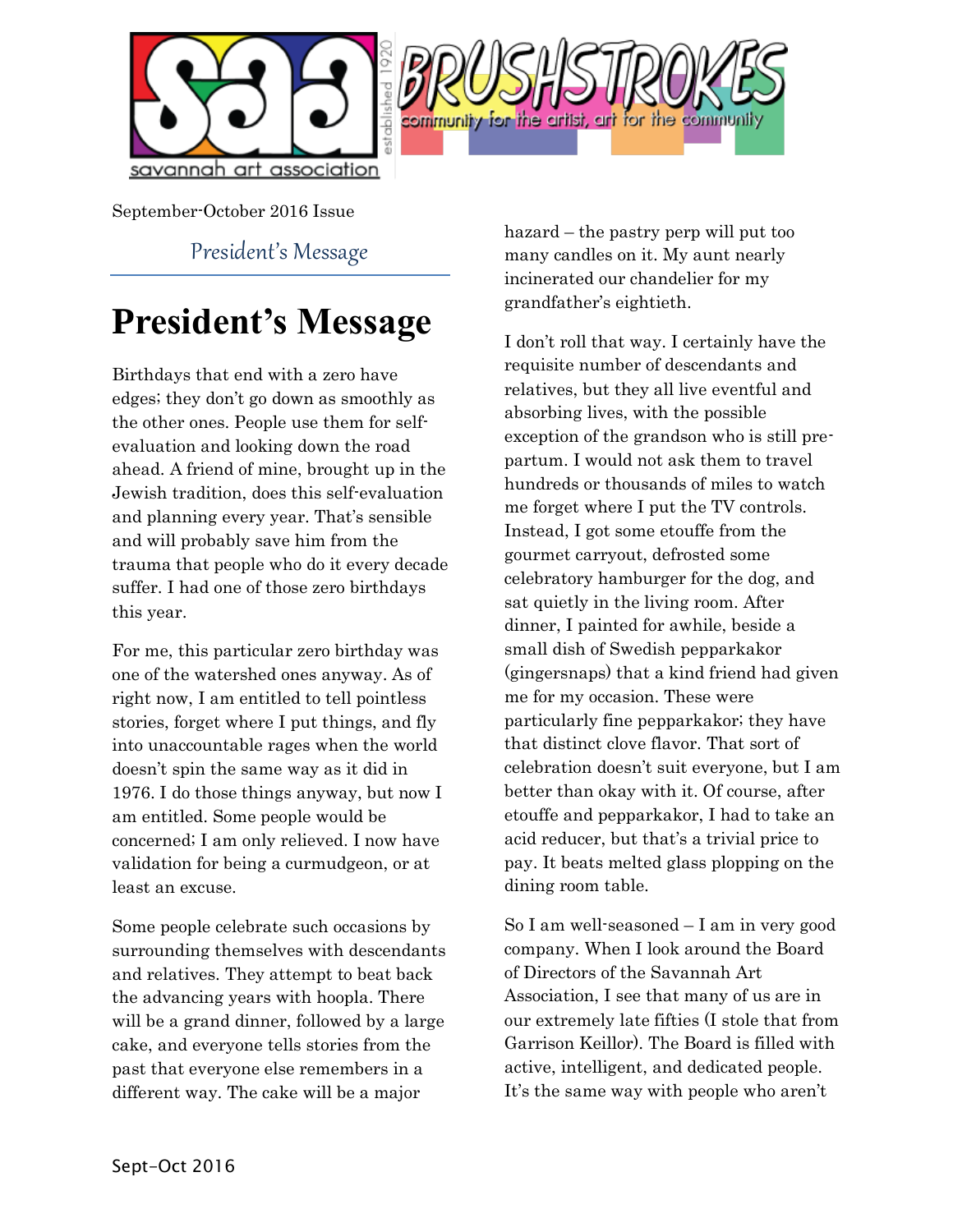



September-October 2016 Issue

President's Message

# **President's Message**

Birthdays that end with a zero have edges; they don't go down as smoothly as the other ones. People use them for selfevaluation and looking down the road ahead. A friend of mine, brought up in the Jewish tradition, does this self-evaluation and planning every year. That's sensible and will probably save him from the trauma that people who do it every decade suffer. I had one of those zero birthdays this year.

For me, this particular zero birthday was one of the watershed ones anyway. As of right now, I am entitled to tell pointless stories, forget where I put things, and fly into unaccountable rages when the world doesn't spin the same way as it did in 1976. I do those things anyway, but now I am entitled. Some people would be concerned; I am only relieved. I now have validation for being a curmudgeon, or at least an excuse.

Some people celebrate such occasions by surrounding themselves with descendants and relatives. They attempt to beat back the advancing years with hoopla. There will be a grand dinner, followed by a large cake, and everyone tells stories from the past that everyone else remembers in a different way. The cake will be a major

hazard – the pastry perp will put too many candles on it. My aunt nearly incinerated our chandelier for my grandfather's eightieth.

I don't roll that way. I certainly have the requisite number of descendants and relatives, but they all live eventful and absorbing lives, with the possible exception of the grandson who is still prepartum. I would not ask them to travel hundreds or thousands of miles to watch me forget where I put the TV controls. Instead, I got some etouffe from the gourmet carryout, defrosted some celebratory hamburger for the dog, and sat quietly in the living room. After dinner, I painted for awhile, beside a small dish of Swedish pepparkakor (gingersnaps) that a kind friend had given me for my occasion. These were particularly fine pepparkakor; they have that distinct clove flavor. That sort of celebration doesn't suit everyone, but I am better than okay with it. Of course, after etouffe and pepparkakor, I had to take an acid reducer, but that's a trivial price to pay. It beats melted glass plopping on the dining room table.

So I am well-seasoned – I am in very good company. When I look around the Board of Directors of the Savannah Art Association, I see that many of us are in our extremely late fifties (I stole that from Garrison Keillor). The Board is filled with active, intelligent, and dedicated people. It's the same way with people who aren't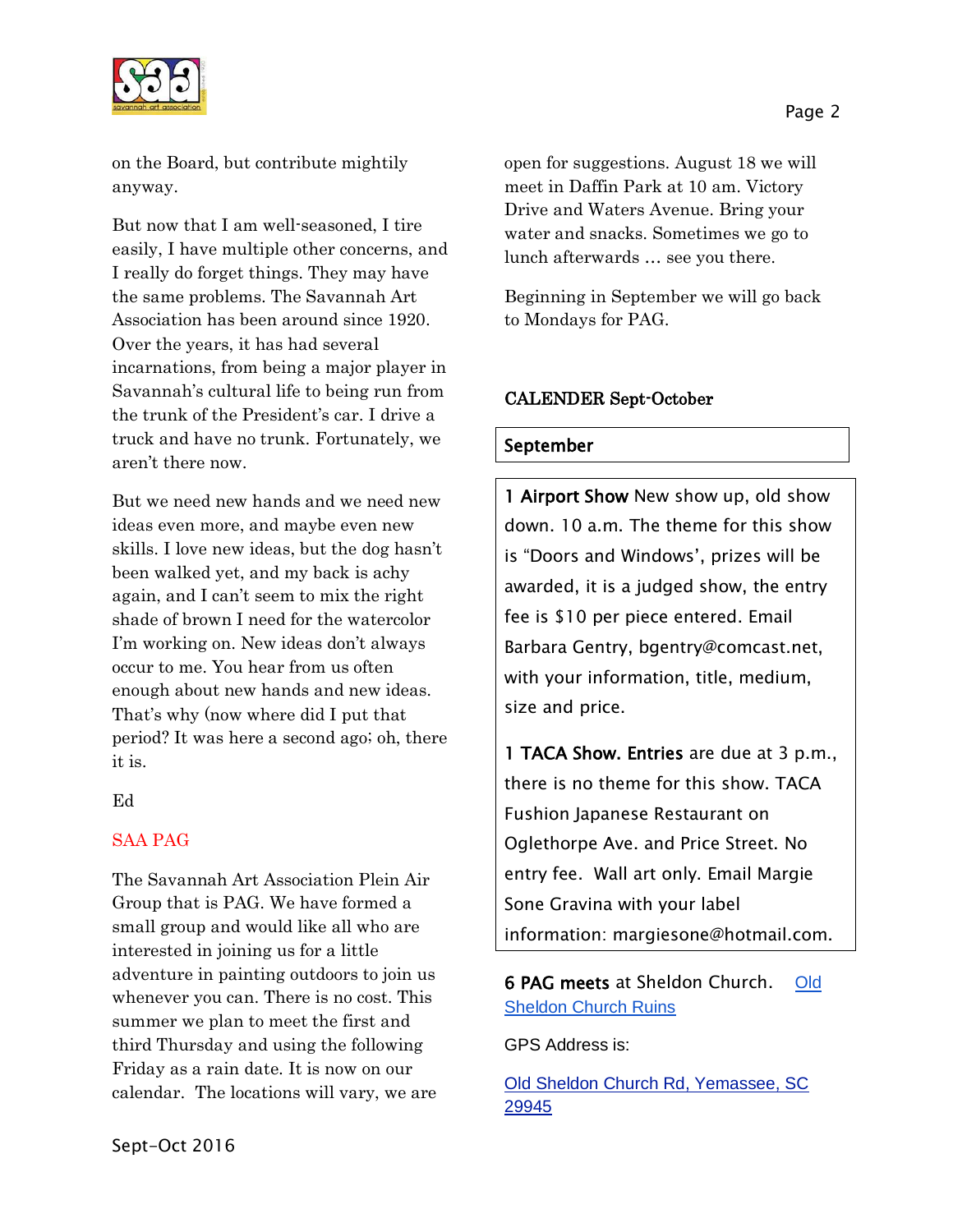

on the Board, but contribute mightily anyway.

But now that I am well-seasoned, I tire easily, I have multiple other concerns, and I really do forget things. They may have the same problems. The Savannah Art Association has been around since 1920. Over the years, it has had several incarnations, from being a major player in Savannah's cultural life to being run from the trunk of the President's car. I drive a truck and have no trunk. Fortunately, we aren't there now.

But we need new hands and we need new ideas even more, and maybe even new skills. I love new ideas, but the dog hasn't been walked yet, and my back is achy again, and I can't seem to mix the right shade of brown I need for the watercolor I'm working on. New ideas don't always occur to me. You hear from us often enough about new hands and new ideas. That's why (now where did I put that period? It was here a second ago; oh, there it is.

Ed

### SAA PAG

The Savannah Art Association Plein Air Group that is PAG. We have formed a small group and would like all who are interested in joining us for a little adventure in painting outdoors to join us whenever you can. There is no cost. This summer we plan to meet the first and third Thursday and using the following Friday as a rain date. It is now on our calendar. The locations will vary, we are open for suggestions. August 18 we will meet in Daffin Park at 10 am. Victory Drive and Waters Avenue. Bring your water and snacks. Sometimes we go to lunch afterwards … see you there.

Beginning in September we will go back to Mondays for PAG.

#### CALENDER Sept-October

#### September

1 Airport Show New show up, old show down. 10 a.m. The theme for this show is "Doors and Windows', prizes will be awarded, it is a judged show, the entry fee is \$10 per piece entered. Email Barbara Gentry, bgentry@comcast.net, with your information, title, medium, size and price.

1 TACA Show. Entries are due at 3 p.m., there is no theme for this show. TACA Fushion Japanese Restaurant on Oglethorpe Ave. and Price Street. No entry fee. Wall art only. Email Margie Sone Gravina with your label information: margiesone@hotmail.com.

# 6 PAG meets at Sheldon Church. [Old](http://www.sciway.net/sc-photos/beaufort-county/old-sheldon-church.html)  [Sheldon Church Ruins](http://www.sciway.net/sc-photos/beaufort-county/old-sheldon-church.html)

GPS Address is:

[Old Sheldon Church Rd, Yemassee, SC](https://www.bing.com/local?lid=YN873x15715540646062414638&id=YN873x15715540646062414638&q=Old+Sheldon+Church+Ruins&name=Old+Sheldon+Church+Ruins&cp=32.6767807006836%7e-80.8384780883789&ppois=32.6767807006836_-80.8384780883789_Old+Sheldon+Church+Ruins&FORM=SNAPST)  [29945](https://www.bing.com/local?lid=YN873x15715540646062414638&id=YN873x15715540646062414638&q=Old+Sheldon+Church+Ruins&name=Old+Sheldon+Church+Ruins&cp=32.6767807006836%7e-80.8384780883789&ppois=32.6767807006836_-80.8384780883789_Old+Sheldon+Church+Ruins&FORM=SNAPST)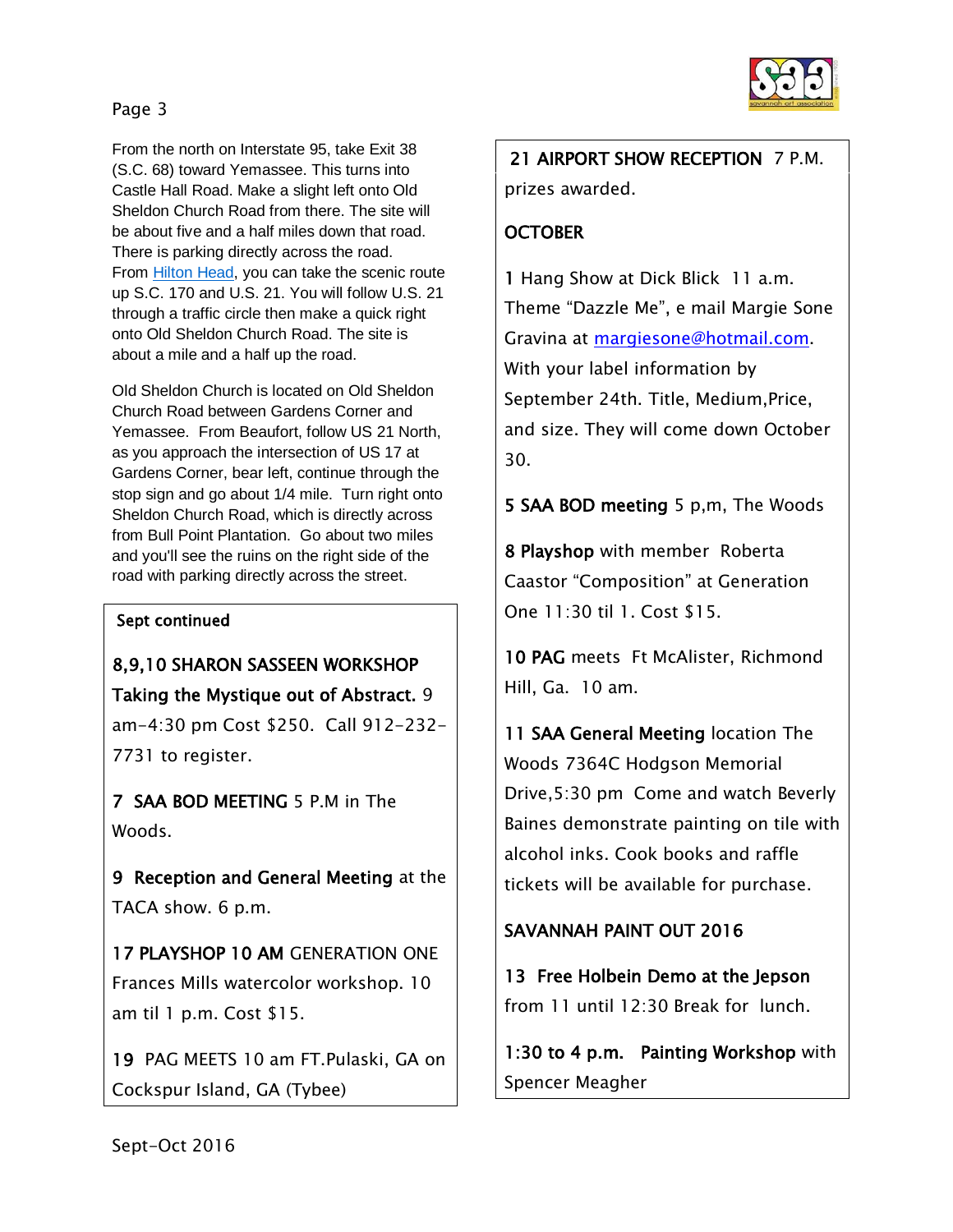### Page 3

From the north on Interstate 95, take Exit 38 (S.C. 68) toward Yemassee. This turns into Castle Hall Road. Make a slight left onto Old Sheldon Church Road from there. The site will be about five and a half miles down that road. There is parking directly across the road. From **Hilton Head**, you can take the scenic route up S.C. 170 and U.S. 21. You will follow U.S. 21 through a traffic circle then make a quick right onto Old Sheldon Church Road. The site is about a mile and a half up the road.

Old Sheldon Church is located on Old Sheldon Church Road between Gardens Corner and Yemassee. From Beaufort, follow US 21 North, as you approach the intersection of US 17 at Gardens Corner, bear left, continue through the stop sign and go about 1/4 mile. Turn right onto Sheldon Church Road, which is directly across from Bull Point Plantation. Go about two miles and you'll see the ruins on the right side of the road with parking directly across the street.

#### Sept continued

8,9,10 SHARON SASSEEN WORKSHOP Taking the Mystique out of Abstract. 9 am-4:30 pm Cost \$250. Call 912-232- 7731 to register.

7 SAA BOD MEETING 5 P.M in The Woods.

9 Reception and General Meeting at the TACA show. 6 p.m.

17 PLAYSHOP 10 AM GENERATION ONE Frances Mills watercolor workshop. 10 am til 1 p.m. Cost \$15.

19 PAG MEETS 10 am FT.Pulaski, GA on Cockspur Island, GA (Tybee)



 21 AIRPORT SHOW RECEPTION 7 P.M. prizes awarded.

## **OCTOBER**

1 Hang Show at Dick Blick 11 a.m. Theme "Dazzle Me", e mail Margie Sone Gravina at [margiesone@hotmail.com.](mailto:margiesone@hotmail.com) With your label information by September 24th. Title, Medium,Price, and size. They will come down October 30.

5 SAA BOD meeting 5 p,m, The Woods

8 Playshop with member Roberta Caastor "Composition" at Generation One 11:30 til 1. Cost \$15.

10 PAG meets Ft McAlister, Richmond Hill, Ga. 10 am.

11 SAA General Meeting location The Woods 7364C Hodgson Memorial Drive,5:30 pm Come and watch Beverly Baines demonstrate painting on tile with alcohol inks. Cook books and raffle tickets will be available for purchase.

### SAVANNAH PAINT OUT 2016

13 Free Holbein Demo at the Jepson from 11 until 12:30 Break for lunch.

1:30 to 4 p.m. Painting Workshop with Spencer Meagher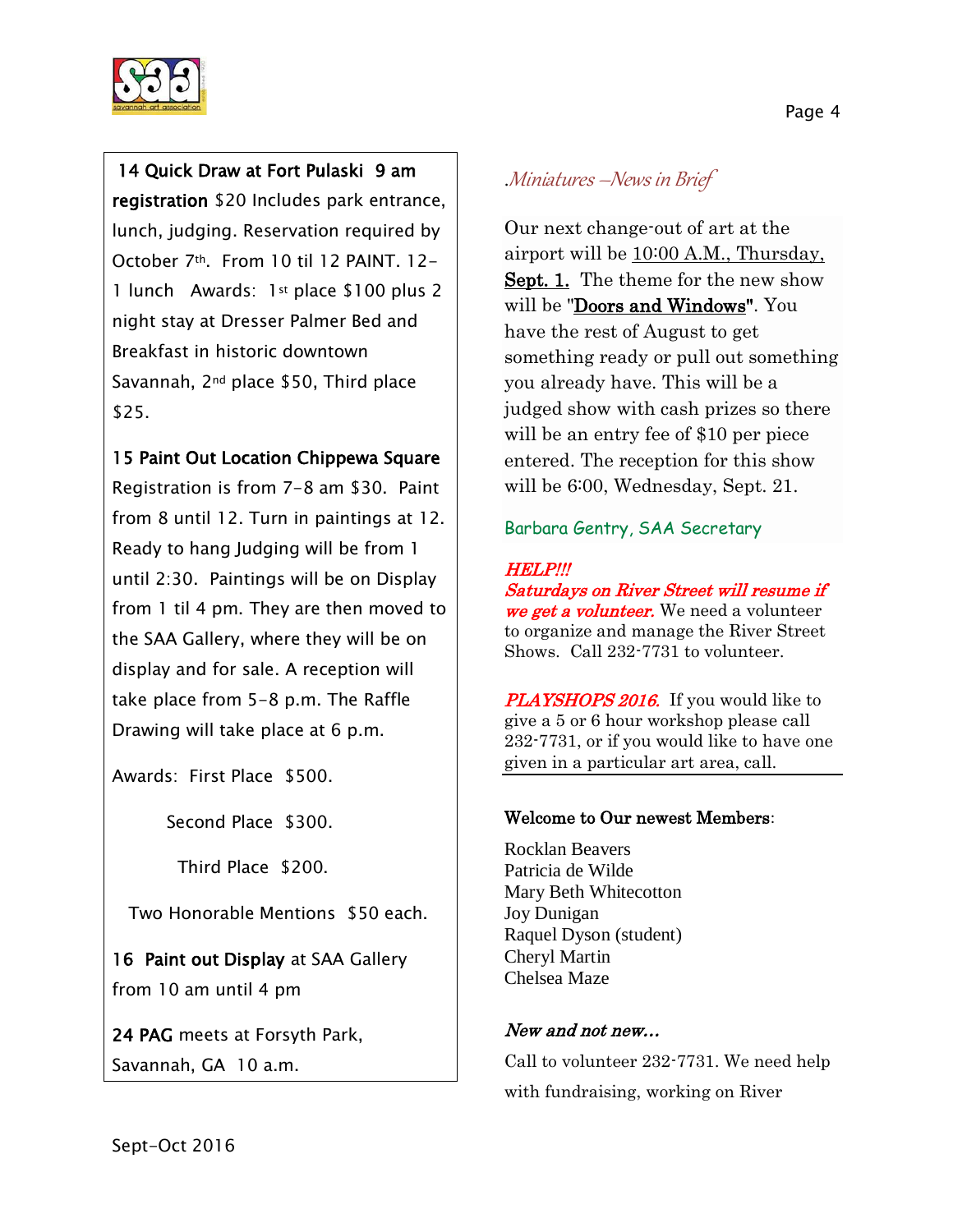

# 14 Quick Draw at Fort Pulaski 9 am

registration \$20 Includes park entrance, lunch, judging. Reservation required by October 7th. From 10 til 12 PAINT. 12- 1 lunch Awards: 1st place \$100 plus 2 night stay at Dresser Palmer Bed and Breakfast in historic downtown Savannah, 2nd place \$50, Third place \$25.

# 15 Paint Out Location Chippewa Square

Registration is from 7-8 am \$30. Paint from 8 until 12. Turn in paintings at 12. Ready to hang Judging will be from 1 until 2:30. Paintings will be on Display from 1 til 4 pm. They are then moved to the SAA Gallery, where they will be on display and for sale. A reception will take place from 5-8 p.m. The Raffle Drawing will take place at 6 p.m.

Awards: First Place \$500.

Second Place \$300.

Third Place \$200.

Two Honorable Mentions \$50 each.

16 Paint out Display at SAA Gallery from 10 am until 4 pm

24 PAG meets at Forsyth Park, Savannah, GA 10 a.m.

# .Miniatures –News in Brief

Our next change-out of art at the airport will be 10:00 A.M., Thursday, Sept. 1. The theme for the new show will be "Doors and Windows". You have the rest of August to get something ready or pull out something you already have. This will be a judged show with cash prizes so there will be an entry fee of \$10 per piece entered. The reception for this show will be 6:00, Wednesday, Sept. 21.

### Barbara Gentry, SAA Secretary

#### HELP!!!

Saturdays on River Street will resume if we get a volunteer. We need a volunteer to organize and manage the River Street Shows. Call 232-7731 to volunteer.

**PLAYSHOPS 2016.** If you would like to give a 5 or 6 hour workshop please call 232-7731, or if you would like to have one given in a particular art area, call.

#### Welcome to Our newest Members:

Rocklan Beavers Patricia de Wilde Mary Beth Whitecotton Joy Dunigan Raquel Dyson (student) Cheryl Martin Chelsea Maze

### New and not new…

Call to volunteer 232-7731. We need help with fundraising, working on River